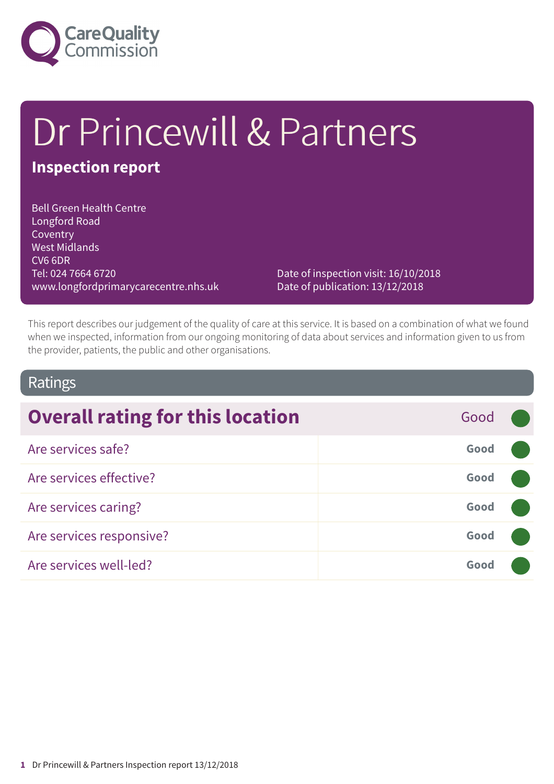

# Dr Princewill & Partners

### **Inspection report**

Bell Green Health Centre Longford Road Coventry West Midlands CV6 6DR Tel: 024 7664 6720 www.longfordprimarycarecentre.nhs.uk

Date of inspection visit: 16/10/2018 Date of publication: 13/12/2018

This report describes our judgement of the quality of care at this service. It is based on a combination of what we found when we inspected, information from our ongoing monitoring of data about services and information given to us from the provider, patients, the public and other organisations.

### Ratings

| <b>Overall rating for this location</b> | Good |  |
|-----------------------------------------|------|--|
| Are services safe?                      | Good |  |
| Are services effective?                 | Good |  |
| Are services caring?                    | Good |  |
| Are services responsive?                | Good |  |
| Are services well-led?                  | Good |  |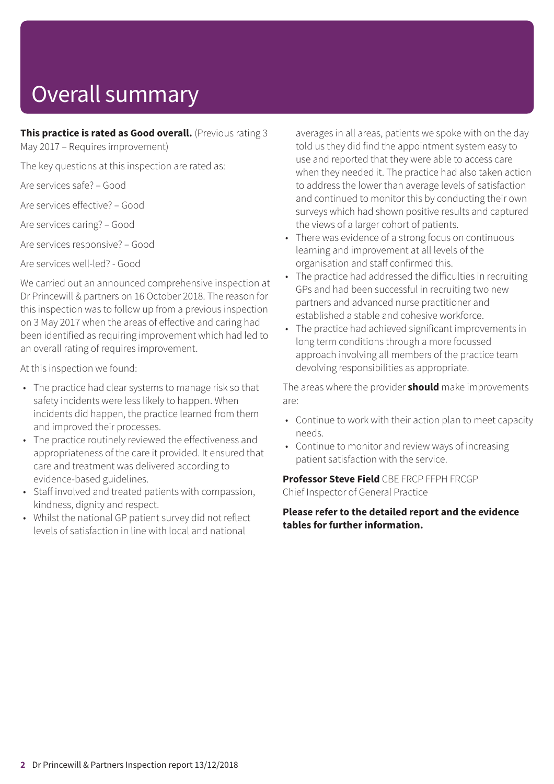# Overall summary

**This practice is rated as Good overall.** (Previous rating 3

May 2017 – Requires improvement)

The key questions at this inspection are rated as:

Are services safe? – Good

Are services effective? – Good

Are services caring? – Good

Are services responsive? – Good

Are services well-led? - Good

We carried out an announced comprehensive inspection at Dr Princewill & partners on 16 October 2018. The reason for this inspection was to follow up from a previous inspection on 3 May 2017 when the areas of effective and caring had been identified as requiring improvement which had led to an overall rating of requires improvement.

At this inspection we found:

- The practice had clear systems to manage risk so that safety incidents were less likely to happen. When incidents did happen, the practice learned from them and improved their processes.
- The practice routinely reviewed the effectiveness and appropriateness of the care it provided. It ensured that care and treatment was delivered according to evidence-based guidelines.
- Staff involved and treated patients with compassion, kindness, dignity and respect.
- Whilst the national GP patient survey did not reflect levels of satisfaction in line with local and national

averages in all areas, patients we spoke with on the day told us they did find the appointment system easy to use and reported that they were able to access care when they needed it. The practice had also taken action to address the lower than average levels of satisfaction and continued to monitor this by conducting their own surveys which had shown positive results and captured the views of a larger cohort of patients.

- There was evidence of a strong focus on continuous learning and improvement at all levels of the organisation and staff confirmed this.
- The practice had addressed the difficulties in recruiting GPs and had been successful in recruiting two new partners and advanced nurse practitioner and established a stable and cohesive workforce.
- The practice had achieved significant improvements in long term conditions through a more focussed approach involving all members of the practice team devolving responsibilities as appropriate.

The areas where the provider **should** make improvements are:

- Continue to work with their action plan to meet capacity needs.
- Continue to monitor and review ways of increasing patient satisfaction with the service.

**Professor Steve Field** CBE FRCP FFPH FRCGP Chief Inspector of General Practice

**Please refer to the detailed report and the evidence tables for further information.**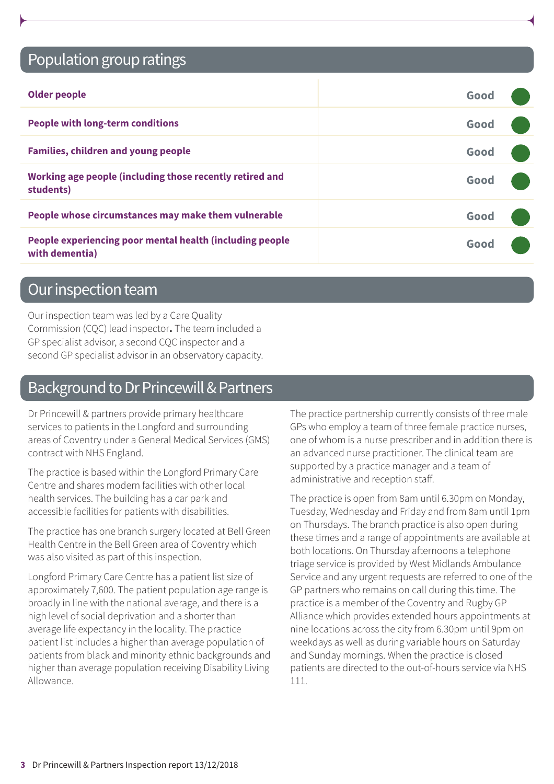### Population group ratings

| <b>Older people</b>                                                        | Good |  |
|----------------------------------------------------------------------------|------|--|
| <b>People with long-term conditions</b>                                    | Good |  |
| <b>Families, children and young people</b>                                 | Good |  |
| Working age people (including those recently retired and<br>students)      | Good |  |
| People whose circumstances may make them vulnerable                        | Good |  |
| People experiencing poor mental health (including people<br>with dementia) | Good |  |

### Our inspection team

Our inspection team was led by a Care Quality Commission (CQC) lead inspector**.** The team included a GP specialist advisor, a second CQC inspector and a second GP specialist advisor in an observatory capacity.

### Background to Dr Princewill & Partners

Dr Princewill & partners provide primary healthcare services to patients in the Longford and surrounding areas of Coventry under a General Medical Services (GMS) contract with NHS England.

The practice is based within the Longford Primary Care Centre and shares modern facilities with other local health services. The building has a car park and accessible facilities for patients with disabilities.

The practice has one branch surgery located at Bell Green Health Centre in the Bell Green area of Coventry which was also visited as part of this inspection.

Longford Primary Care Centre has a patient list size of approximately 7,600. The patient population age range is broadly in line with the national average, and there is a high level of social deprivation and a shorter than average life expectancy in the locality. The practice patient list includes a higher than average population of patients from black and minority ethnic backgrounds and higher than average population receiving Disability Living Allowance.

The practice partnership currently consists of three male GPs who employ a team of three female practice nurses, one of whom is a nurse prescriber and in addition there is an advanced nurse practitioner. The clinical team are supported by a practice manager and a team of administrative and reception staff.

The practice is open from 8am until 6.30pm on Monday, Tuesday, Wednesday and Friday and from 8am until 1pm on Thursdays. The branch practice is also open during these times and a range of appointments are available at both locations. On Thursday afternoons a telephone triage service is provided by West Midlands Ambulance Service and any urgent requests are referred to one of the GP partners who remains on call during this time. The practice is a member of the Coventry and Rugby GP Alliance which provides extended hours appointments at nine locations across the city from 6.30pm until 9pm on weekdays as well as during variable hours on Saturday and Sunday mornings. When the practice is closed patients are directed to the out-of-hours service via NHS 111.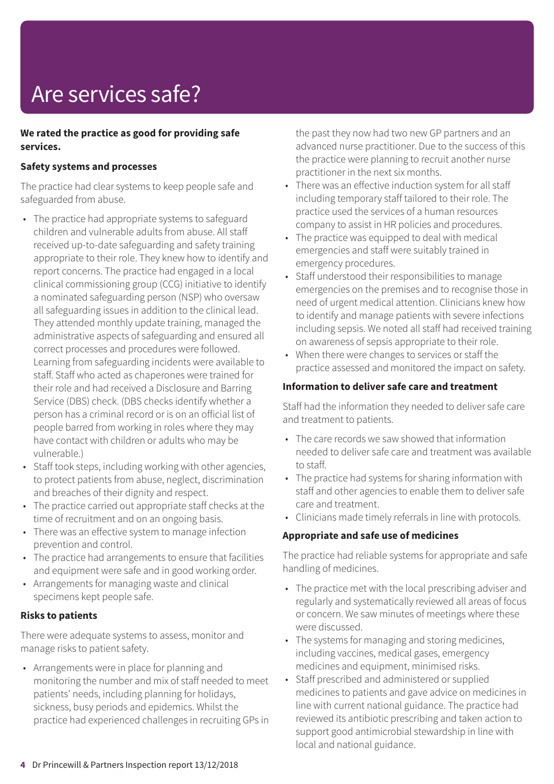# Are services safe?

#### **We rated the practice as good for providing safe services.**

#### **Safety systems and processes**

The practice had clear systems to keep people safe and safeguarded from abuse.

- The practice had appropriate systems to safeguard children and vulnerable adults from abuse. All staff received up-to-date safeguarding and safety training appropriate to their role. They knew how to identify and report concerns. The practice had engaged in a local clinical commissioning group (CCG) initiative to identify a nominated safeguarding person (NSP) who oversaw all safeguarding issues in addition to the clinical lead. They attended monthly update training, managed the administrative aspects of safeguarding and ensured all correct processes and procedures were followed. Learning from safeguarding incidents were available to staff. Staff who acted as chaperones were trained for their role and had received a Disclosure and Barring Service (DBS) check. (DBS checks identify whether a person has a criminal record or is on an official list of people barred from working in roles where they may have contact with children or adults who may be vulnerable.)
- Staff took steps, including working with other agencies, to protect patients from abuse, neglect, discrimination and breaches of their dignity and respect.
- The practice carried out appropriate staff checks at the time of recruitment and on an ongoing basis.
- There was an effective system to manage infection prevention and control.
- The practice had arrangements to ensure that facilities and equipment were safe and in good working order.
- Arrangements for managing waste and clinical specimens kept people safe.

#### **Risks to patients**

There were adequate systems to assess, monitor and manage risks to patient safety.

• Arrangements were in place for planning and monitoring the number and mix of staff needed to meet patients' needs, including planning for holidays, sickness, busy periods and epidemics. Whilst the practice had experienced challenges in recruiting GPs in the past they now had two new GP partners and an advanced nurse practitioner. Due to the success of this the practice were planning to recruit another nurse practitioner in the next six months.

- There was an effective induction system for all staff including temporary staff tailored to their role. The practice used the services of a human resources company to assist in HR policies and procedures.
- The practice was equipped to deal with medical emergencies and staff were suitably trained in emergency procedures.
- Staff understood their responsibilities to manage emergencies on the premises and to recognise those in need of urgent medical attention. Clinicians knew how to identify and manage patients with severe infections including sepsis. We noted all staff had received training on awareness of sepsis appropriate to their role.
- When there were changes to services or staff the practice assessed and monitored the impact on safety.

#### **Information to deliver safe care and treatment**

Staff had the information they needed to deliver safe care and treatment to patients.

- The care records we saw showed that information needed to deliver safe care and treatment was available to staff.
- The practice had systems for sharing information with staff and other agencies to enable them to deliver safe care and treatment.
- Clinicians made timely referrals in line with protocols.

#### **Appropriate and safe use of medicines**

The practice had reliable systems for appropriate and safe handling of medicines.

- The practice met with the local prescribing adviser and regularly and systematically reviewed all areas of focus or concern. We saw minutes of meetings where these were discussed.
- The systems for managing and storing medicines, including vaccines, medical gases, emergency medicines and equipment, minimised risks.
- Staff prescribed and administered or supplied medicines to patients and gave advice on medicines in line with current national guidance. The practice had reviewed its antibiotic prescribing and taken action to support good antimicrobial stewardship in line with local and national guidance.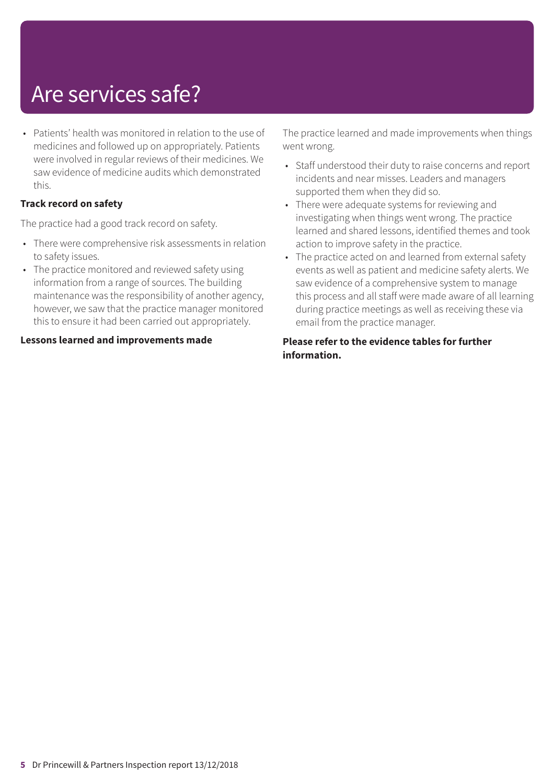### Are services safe?

• Patients' health was monitored in relation to the use of medicines and followed up on appropriately. Patients were involved in regular reviews of their medicines. We saw evidence of medicine audits which demonstrated this.

#### **Track record on safety**

The practice had a good track record on safety.

- There were comprehensive risk assessments in relation to safety issues.
- The practice monitored and reviewed safety using information from a range of sources. The building maintenance was the responsibility of another agency, however, we saw that the practice manager monitored this to ensure it had been carried out appropriately.

**Lessons learned and improvements made**

The practice learned and made improvements when things went wrong.

- Staff understood their duty to raise concerns and report incidents and near misses. Leaders and managers supported them when they did so.
- There were adequate systems for reviewing and investigating when things went wrong. The practice learned and shared lessons, identified themes and took action to improve safety in the practice.
- The practice acted on and learned from external safety events as well as patient and medicine safety alerts. We saw evidence of a comprehensive system to manage this process and all staff were made aware of all learning during practice meetings as well as receiving these via email from the practice manager.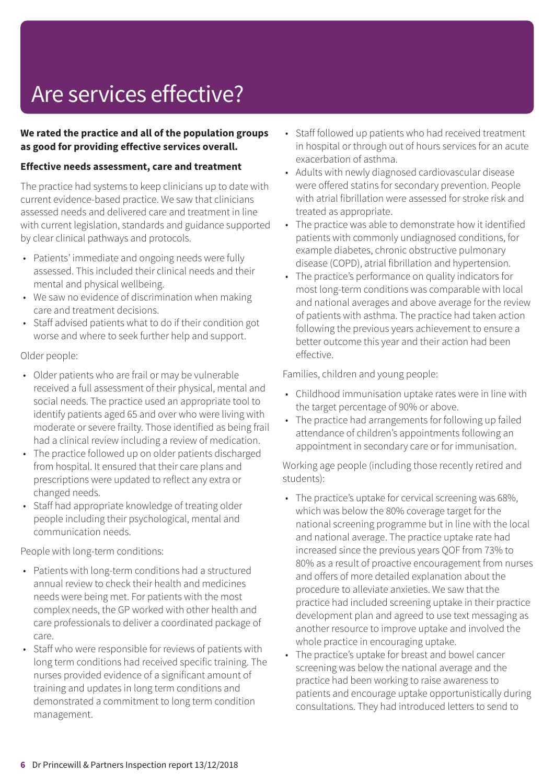## Are services effective?

#### **We rated the practice and all of the population groups as good for providing effective services overall.**

#### **Effective needs assessment, care and treatment**

The practice had systems to keep clinicians up to date with current evidence-based practice. We saw that clinicians assessed needs and delivered care and treatment in line with current legislation, standards and guidance supported by clear clinical pathways and protocols.

- Patients' immediate and ongoing needs were fully assessed. This included their clinical needs and their mental and physical wellbeing.
- We saw no evidence of discrimination when making care and treatment decisions.
- Staff advised patients what to do if their condition got worse and where to seek further help and support.

#### Older people:

- Older patients who are frail or may be vulnerable received a full assessment of their physical, mental and social needs. The practice used an appropriate tool to identify patients aged 65 and over who were living with moderate or severe frailty. Those identified as being frail had a clinical review including a review of medication.
- The practice followed up on older patients discharged from hospital. It ensured that their care plans and prescriptions were updated to reflect any extra or changed needs.
- Staff had appropriate knowledge of treating older people including their psychological, mental and communication needs.

People with long-term conditions:

- Patients with long-term conditions had a structured annual review to check their health and medicines needs were being met. For patients with the most complex needs, the GP worked with other health and care professionals to deliver a coordinated package of care.
- Staff who were responsible for reviews of patients with long term conditions had received specific training. The nurses provided evidence of a significant amount of training and updates in long term conditions and demonstrated a commitment to long term condition management.
- Staff followed up patients who had received treatment in hospital or through out of hours services for an acute exacerbation of asthma.
- Adults with newly diagnosed cardiovascular disease were offered statins for secondary prevention. People with atrial fibrillation were assessed for stroke risk and treated as appropriate.
- The practice was able to demonstrate how it identified patients with commonly undiagnosed conditions, for example diabetes, chronic obstructive pulmonary disease (COPD), atrial fibrillation and hypertension.
- The practice's performance on quality indicators for most long-term conditions was comparable with local and national averages and above average for the review of patients with asthma. The practice had taken action following the previous years achievement to ensure a better outcome this year and their action had been effective.

Families, children and young people:

- Childhood immunisation uptake rates were in line with the target percentage of 90% or above.
- The practice had arrangements for following up failed attendance of children's appointments following an appointment in secondary care or for immunisation.

Working age people (including those recently retired and students):

- The practice's uptake for cervical screening was 68%, which was below the 80% coverage target for the national screening programme but in line with the local and national average. The practice uptake rate had increased since the previous years QOF from 73% to 80% as a result of proactive encouragement from nurses and offers of more detailed explanation about the procedure to alleviate anxieties. We saw that the practice had included screening uptake in their practice development plan and agreed to use text messaging as another resource to improve uptake and involved the whole practice in encouraging uptake.
- The practice's uptake for breast and bowel cancer screening was below the national average and the practice had been working to raise awareness to patients and encourage uptake opportunistically during consultations. They had introduced letters to send to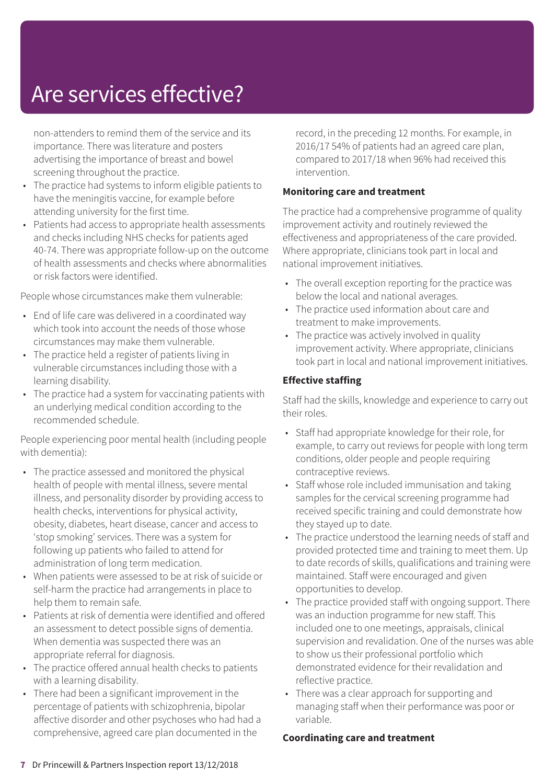### Are services effective?

non-attenders to remind them of the service and its importance. There was literature and posters advertising the importance of breast and bowel screening throughout the practice.

- The practice had systems to inform eligible patients to have the meningitis vaccine, for example before attending university for the first time.
- Patients had access to appropriate health assessments and checks including NHS checks for patients aged 40-74. There was appropriate follow-up on the outcome of health assessments and checks where abnormalities or risk factors were identified.

People whose circumstances make them vulnerable:

- End of life care was delivered in a coordinated way which took into account the needs of those whose circumstances may make them vulnerable.
- The practice held a register of patients living in vulnerable circumstances including those with a learning disability.
- The practice had a system for vaccinating patients with an underlying medical condition according to the recommended schedule.

People experiencing poor mental health (including people with dementia):

- The practice assessed and monitored the physical health of people with mental illness, severe mental illness, and personality disorder by providing access to health checks, interventions for physical activity, obesity, diabetes, heart disease, cancer and access to 'stop smoking' services. There was a system for following up patients who failed to attend for administration of long term medication.
- When patients were assessed to be at risk of suicide or self-harm the practice had arrangements in place to help them to remain safe.
- Patients at risk of dementia were identified and offered an assessment to detect possible signs of dementia. When dementia was suspected there was an appropriate referral for diagnosis.
- The practice offered annual health checks to patients with a learning disability.
- There had been a significant improvement in the percentage of patients with schizophrenia, bipolar affective disorder and other psychoses who had had a comprehensive, agreed care plan documented in the

record, in the preceding 12 months. For example, in 2016/17 54% of patients had an agreed care plan, compared to 2017/18 when 96% had received this intervention.

#### **Monitoring care and treatment**

The practice had a comprehensive programme of quality improvement activity and routinely reviewed the effectiveness and appropriateness of the care provided. Where appropriate, clinicians took part in local and national improvement initiatives.

- The overall exception reporting for the practice was below the local and national averages.
- The practice used information about care and treatment to make improvements.
- The practice was actively involved in quality improvement activity. Where appropriate, clinicians took part in local and national improvement initiatives.

#### **Effective staffing**

Staff had the skills, knowledge and experience to carry out their roles.

- Staff had appropriate knowledge for their role, for example, to carry out reviews for people with long term conditions, older people and people requiring contraceptive reviews.
- Staff whose role included immunisation and taking samples for the cervical screening programme had received specific training and could demonstrate how they stayed up to date.
- The practice understood the learning needs of staff and provided protected time and training to meet them. Up to date records of skills, qualifications and training were maintained. Staff were encouraged and given opportunities to develop.
- The practice provided staff with ongoing support. There was an induction programme for new staff. This included one to one meetings, appraisals, clinical supervision and revalidation. One of the nurses was able to show us their professional portfolio which demonstrated evidence for their revalidation and reflective practice.
- There was a clear approach for supporting and managing staff when their performance was poor or variable.

#### **Coordinating care and treatment**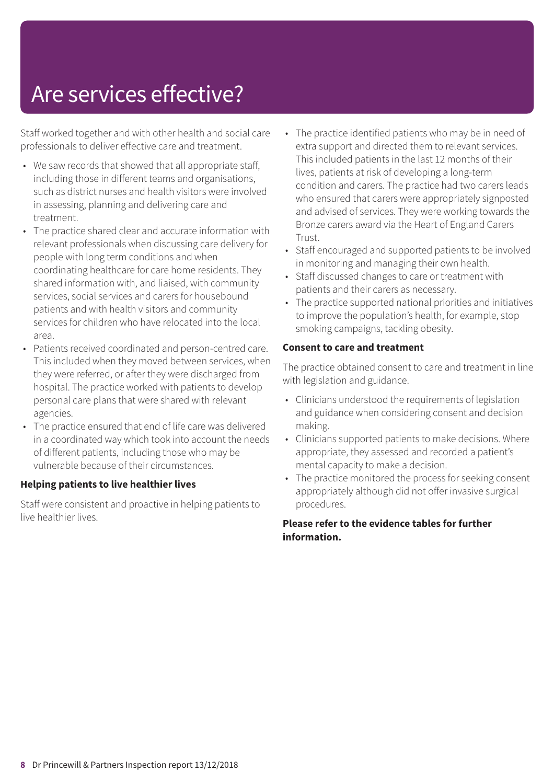### Are services effective?

Staff worked together and with other health and social care professionals to deliver effective care and treatment.

- We saw records that showed that all appropriate staff, including those in different teams and organisations, such as district nurses and health visitors were involved in assessing, planning and delivering care and treatment.
- The practice shared clear and accurate information with relevant professionals when discussing care delivery for people with long term conditions and when coordinating healthcare for care home residents. They shared information with, and liaised, with community services, social services and carers for housebound patients and with health visitors and community services for children who have relocated into the local area.
- Patients received coordinated and person-centred care. This included when they moved between services, when they were referred, or after they were discharged from hospital. The practice worked with patients to develop personal care plans that were shared with relevant agencies.
- The practice ensured that end of life care was delivered in a coordinated way which took into account the needs of different patients, including those who may be vulnerable because of their circumstances.

#### **Helping patients to live healthier lives**

Staff were consistent and proactive in helping patients to live healthier lives.

- The practice identified patients who may be in need of extra support and directed them to relevant services. This included patients in the last 12 months of their lives, patients at risk of developing a long-term condition and carers. The practice had two carers leads who ensured that carers were appropriately signposted and advised of services. They were working towards the Bronze carers award via the Heart of England Carers Trust.
- Staff encouraged and supported patients to be involved in monitoring and managing their own health.
- Staff discussed changes to care or treatment with patients and their carers as necessary.
- The practice supported national priorities and initiatives to improve the population's health, for example, stop smoking campaigns, tackling obesity.

#### **Consent to care and treatment**

The practice obtained consent to care and treatment in line with legislation and guidance.

- Clinicians understood the requirements of legislation and guidance when considering consent and decision making.
- Clinicians supported patients to make decisions. Where appropriate, they assessed and recorded a patient's mental capacity to make a decision.
- The practice monitored the process for seeking consent appropriately although did not offer invasive surgical procedures.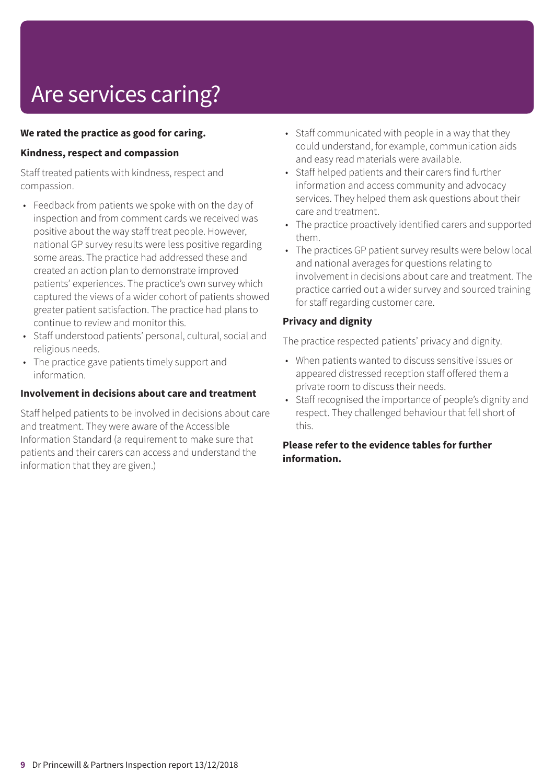# Are services caring?

#### **We rated the practice as good for caring.**

#### **Kindness, respect and compassion**

Staff treated patients with kindness, respect and compassion.

- Feedback from patients we spoke with on the day of inspection and from comment cards we received was positive about the way staff treat people. However, national GP survey results were less positive regarding some areas. The practice had addressed these and created an action plan to demonstrate improved patients' experiences. The practice's own survey which captured the views of a wider cohort of patients showed greater patient satisfaction. The practice had plans to continue to review and monitor this.
- Staff understood patients' personal, cultural, social and religious needs.
- The practice gave patients timely support and information.

#### **Involvement in decisions about care and treatment**

Staff helped patients to be involved in decisions about care and treatment. They were aware of the Accessible Information Standard (a requirement to make sure that patients and their carers can access and understand the information that they are given.)

- Staff communicated with people in a way that they could understand, for example, communication aids and easy read materials were available.
- Staff helped patients and their carers find further information and access community and advocacy services. They helped them ask questions about their care and treatment.
- The practice proactively identified carers and supported them.
- The practices GP patient survey results were below local and national averages for questions relating to involvement in decisions about care and treatment. The practice carried out a wider survey and sourced training for staff regarding customer care.

#### **Privacy and dignity**

The practice respected patients' privacy and dignity.

- When patients wanted to discuss sensitive issues or appeared distressed reception staff offered them a private room to discuss their needs.
- Staff recognised the importance of people's dignity and respect. They challenged behaviour that fell short of this.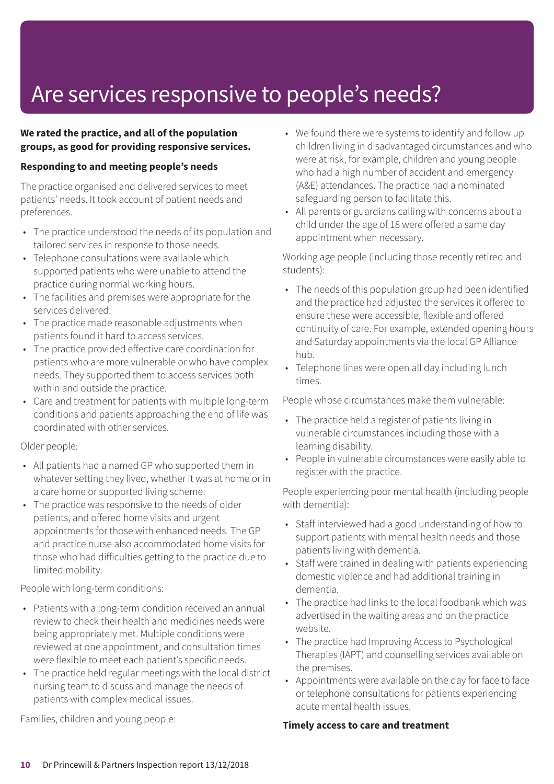### Are services responsive to people's needs?

#### **We rated the practice, and all of the population groups, as good for providing responsive services.**

#### **Responding to and meeting people's needs**

The practice organised and delivered services to meet patients' needs. It took account of patient needs and preferences.

- The practice understood the needs of its population and tailored services in response to those needs.
- Telephone consultations were available which supported patients who were unable to attend the practice during normal working hours.
- The facilities and premises were appropriate for the services delivered.
- The practice made reasonable adjustments when patients found it hard to access services.
- The practice provided effective care coordination for patients who are more vulnerable or who have complex needs. They supported them to access services both within and outside the practice.
- Care and treatment for patients with multiple long-term conditions and patients approaching the end of life was coordinated with other services.

#### Older people:

- All patients had a named GP who supported them in whatever setting they lived, whether it was at home or in a care home or supported living scheme.
- The practice was responsive to the needs of older patients, and offered home visits and urgent appointments for those with enhanced needs. The GP and practice nurse also accommodated home visits for those who had difficulties getting to the practice due to limited mobility.

People with long-term conditions:

- Patients with a long-term condition received an annual review to check their health and medicines needs were being appropriately met. Multiple conditions were reviewed at one appointment, and consultation times were flexible to meet each patient's specific needs.
- The practice held regular meetings with the local district nursing team to discuss and manage the needs of patients with complex medical issues.

Families, children and young people:

- We found there were systems to identify and follow up children living in disadvantaged circumstances and who were at risk, for example, children and young people who had a high number of accident and emergency (A&E) attendances. The practice had a nominated safeguarding person to facilitate this.
- All parents or guardians calling with concerns about a child under the age of 18 were offered a same day appointment when necessary.

Working age people (including those recently retired and students):

- The needs of this population group had been identified and the practice had adjusted the services it offered to ensure these were accessible, flexible and offered continuity of care. For example, extended opening hours and Saturday appointments via the local GP Alliance hub.
- Telephone lines were open all day including lunch times.

People whose circumstances make them vulnerable:

- The practice held a register of patients living in vulnerable circumstances including those with a learning disability.
- People in vulnerable circumstances were easily able to register with the practice.

People experiencing poor mental health (including people with dementia):

- Staff interviewed had a good understanding of how to support patients with mental health needs and those patients living with dementia.
- Staff were trained in dealing with patients experiencing domestic violence and had additional training in dementia.
- The practice had links to the local foodbank which was advertised in the waiting areas and on the practice website.
- The practice had Improving Access to Psychological Therapies (IAPT) and counselling services available on the premises.
- Appointments were available on the day for face to face or telephone consultations for patients experiencing acute mental health issues.

#### **Timely access to care and treatment**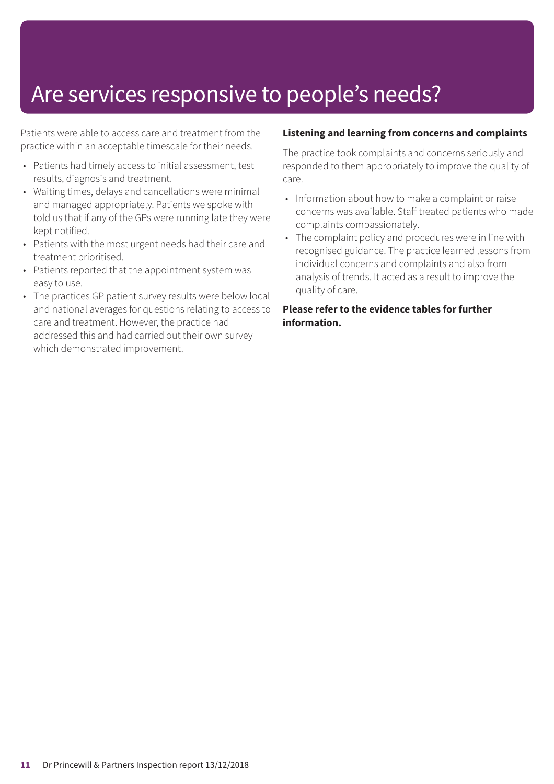### Are services responsive to people's needs?

Patients were able to access care and treatment from the practice within an acceptable timescale for their needs.

- Patients had timely access to initial assessment, test results, diagnosis and treatment.
- Waiting times, delays and cancellations were minimal and managed appropriately. Patients we spoke with told us that if any of the GPs were running late they were kept notified.
- Patients with the most urgent needs had their care and treatment prioritised.
- Patients reported that the appointment system was easy to use.
- The practices GP patient survey results were below local and national averages for questions relating to access to care and treatment. However, the practice had addressed this and had carried out their own survey which demonstrated improvement.

#### **Listening and learning from concerns and complaints**

The practice took complaints and concerns seriously and responded to them appropriately to improve the quality of care.

- Information about how to make a complaint or raise concerns was available. Staff treated patients who made complaints compassionately.
- The complaint policy and procedures were in line with recognised guidance. The practice learned lessons from individual concerns and complaints and also from analysis of trends. It acted as a result to improve the quality of care.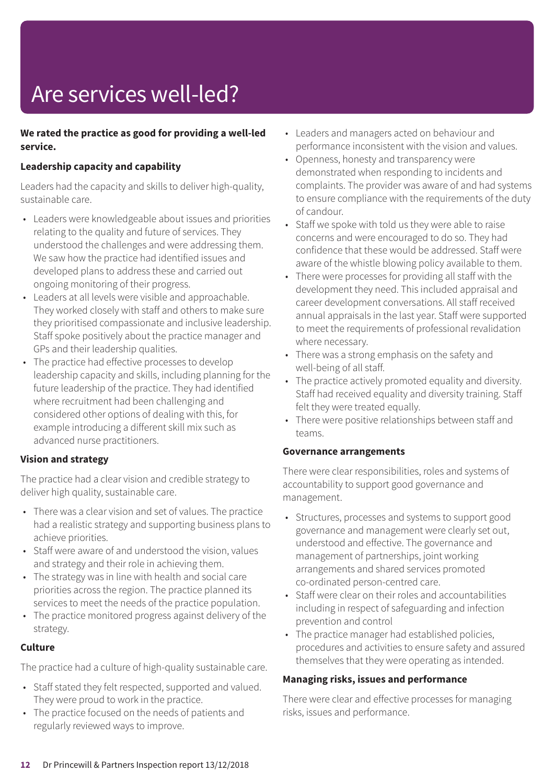# Are services well-led?

#### **We rated the practice as good for providing a well-led service.**

#### **Leadership capacity and capability**

Leaders had the capacity and skills to deliver high-quality, sustainable care.

- Leaders were knowledgeable about issues and priorities relating to the quality and future of services. They understood the challenges and were addressing them. We saw how the practice had identified issues and developed plans to address these and carried out ongoing monitoring of their progress.
- Leaders at all levels were visible and approachable. They worked closely with staff and others to make sure they prioritised compassionate and inclusive leadership. Staff spoke positively about the practice manager and GPs and their leadership qualities.
- The practice had effective processes to develop leadership capacity and skills, including planning for the future leadership of the practice. They had identified where recruitment had been challenging and considered other options of dealing with this, for example introducing a different skill mix such as advanced nurse practitioners.

#### **Vision and strategy**

The practice had a clear vision and credible strategy to deliver high quality, sustainable care.

- There was a clear vision and set of values. The practice had a realistic strategy and supporting business plans to achieve priorities.
- Staff were aware of and understood the vision, values and strategy and their role in achieving them.
- The strategy was in line with health and social care priorities across the region. The practice planned its services to meet the needs of the practice population.
- The practice monitored progress against delivery of the strategy.

#### **Culture**

The practice had a culture of high-quality sustainable care.

- Staff stated they felt respected, supported and valued. They were proud to work in the practice.
- The practice focused on the needs of patients and regularly reviewed ways to improve.
- Leaders and managers acted on behaviour and performance inconsistent with the vision and values.
- Openness, honesty and transparency were demonstrated when responding to incidents and complaints. The provider was aware of and had systems to ensure compliance with the requirements of the duty of candour.
- Staff we spoke with told us they were able to raise concerns and were encouraged to do so. They had confidence that these would be addressed. Staff were aware of the whistle blowing policy available to them.
- There were processes for providing all staff with the development they need. This included appraisal and career development conversations. All staff received annual appraisals in the last year. Staff were supported to meet the requirements of professional revalidation where necessary.
- There was a strong emphasis on the safety and well-being of all staff.
- The practice actively promoted equality and diversity. Staff had received equality and diversity training. Staff felt they were treated equally.
- There were positive relationships between staff and teams.

#### **Governance arrangements**

There were clear responsibilities, roles and systems of accountability to support good governance and management.

- Structures, processes and systems to support good governance and management were clearly set out, understood and effective. The governance and management of partnerships, joint working arrangements and shared services promoted co-ordinated person-centred care.
- Staff were clear on their roles and accountabilities including in respect of safeguarding and infection prevention and control
- The practice manager had established policies, procedures and activities to ensure safety and assured themselves that they were operating as intended.

#### **Managing risks, issues and performance**

There were clear and effective processes for managing risks, issues and performance.